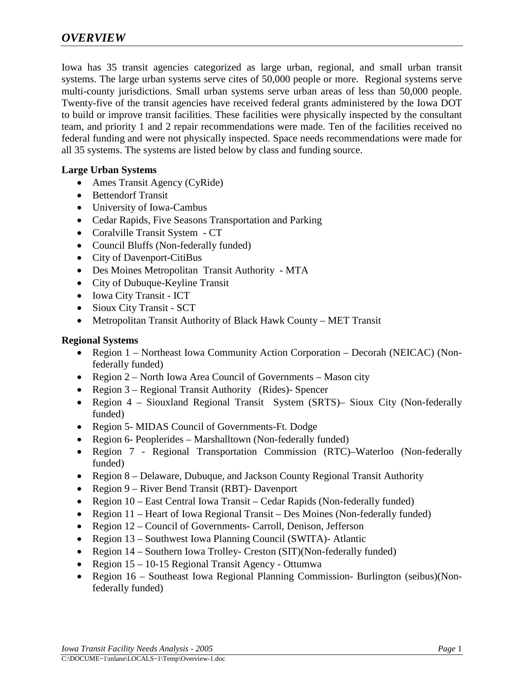Iowa has 35 transit agencies categorized as large urban, regional, and small urban transit systems. The large urban systems serve cites of 50,000 people or more. Regional systems serve multi-county jurisdictions. Small urban systems serve urban areas of less than 50,000 people. Twenty-five of the transit agencies have received federal grants administered by the Iowa DOT to build or improve transit facilities. These facilities were physically inspected by the consultant team, and priority 1 and 2 repair recommendations were made. Ten of the facilities received no federal funding and were not physically inspected. Space needs recommendations were made for all 35 systems. The systems are listed below by class and funding source.

## **Large Urban Systems**

- Ames Transit Agency (CyRide)
- Bettendorf Transit
- University of Iowa-Cambus
- Cedar Rapids, Five Seasons Transportation and Parking
- Coralville Transit System CT
- Council Bluffs (Non-federally funded)
- City of Davenport-CitiBus
- Des Moines Metropolitan Transit Authority MTA
- City of Dubuque-Keyline Transit
- Iowa City Transit ICT
- Sioux City Transit SCT
- Metropolitan Transit Authority of Black Hawk County MET Transit

## **Regional Systems**

- Region 1 Northeast Iowa Community Action Corporation Decorah (NEICAC) (Nonfederally funded)
- Region 2 North Iowa Area Council of Governments Mason city
- Region 3 Regional Transit Authority (Rides)- Spencer
- Region 4 Siouxland Regional Transit System (SRTS)– Sioux City (Non-federally funded)
- Region 5- MIDAS Council of Governments-Ft. Dodge
- Region 6- Peoplerides Marshalltown (Non-federally funded)
- Region 7 Regional Transportation Commission (RTC)–Waterloo (Non-federally funded)
- Region 8 Delaware, Dubuque, and Jackson County Regional Transit Authority
- Region 9 River Bend Transit (RBT)- Davenport
- Region 10 East Central Iowa Transit Cedar Rapids (Non-federally funded)
- Region 11 Heart of Iowa Regional Transit Des Moines (Non-federally funded)
- Region 12 Council of Governments- Carroll, Denison, Jefferson
- Region 13 Southwest Iowa Planning Council (SWITA)- Atlantic
- Region 14 Southern Iowa Trolley- Creston (SIT)(Non-federally funded)
- Region 15 10-15 Regional Transit Agency Ottumwa
- Region 16 Southeast Iowa Regional Planning Commission- Burlington (seibus)(Nonfederally funded)